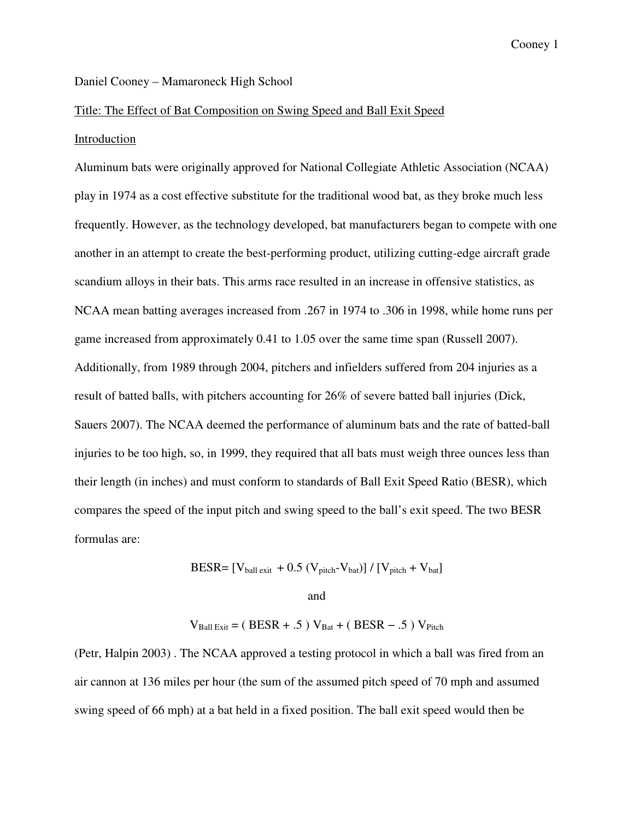### Daniel Cooney – Mamaroneck High School

#### Title: The Effect of Bat Composition on Swing Speed and Ball Exit Speed

### Introduction

Aluminum bats were originally approved for National Collegiate Athletic Association (NCAA) play in 1974 as a cost effective substitute for the traditional wood bat, as they broke much less frequently. However, as the technology developed, bat manufacturers began to compete with one another in an attempt to create the best-performing product, utilizing cutting-edge aircraft grade scandium alloys in their bats. This arms race resulted in an increase in offensive statistics, as NCAA mean batting averages increased from .267 in 1974 to .306 in 1998, while home runs per game increased from approximately 0.41 to 1.05 over the same time span (Russell 2007). Additionally, from 1989 through 2004, pitchers and infielders suffered from 204 injuries as a result of batted balls, with pitchers accounting for 26% of severe batted ball injuries (Dick, Sauers 2007). The NCAA deemed the performance of aluminum bats and the rate of batted-ball injuries to be too high, so, in 1999, they required that all bats must weigh three ounces less than their length (in inches) and must conform to standards of Ball Exit Speed Ratio (BESR), which compares the speed of the input pitch and swing speed to the ball's exit speed. The two BESR formulas are:

$$
BESR = [V_{ball\,exit} + 0.5 (V_{pitch} - V_{bat})] / [V_{pitch} + V_{bat}]
$$

and

$$
V_{Ball\,Exit} = ( BESR + .5) V_{Bat} + ( BESR - .5) V_{Pitch}
$$

(Petr, Halpin 2003) . The NCAA approved a testing protocol in which a ball was fired from an air cannon at 136 miles per hour (the sum of the assumed pitch speed of 70 mph and assumed swing speed of 66 mph) at a bat held in a fixed position. The ball exit speed would then be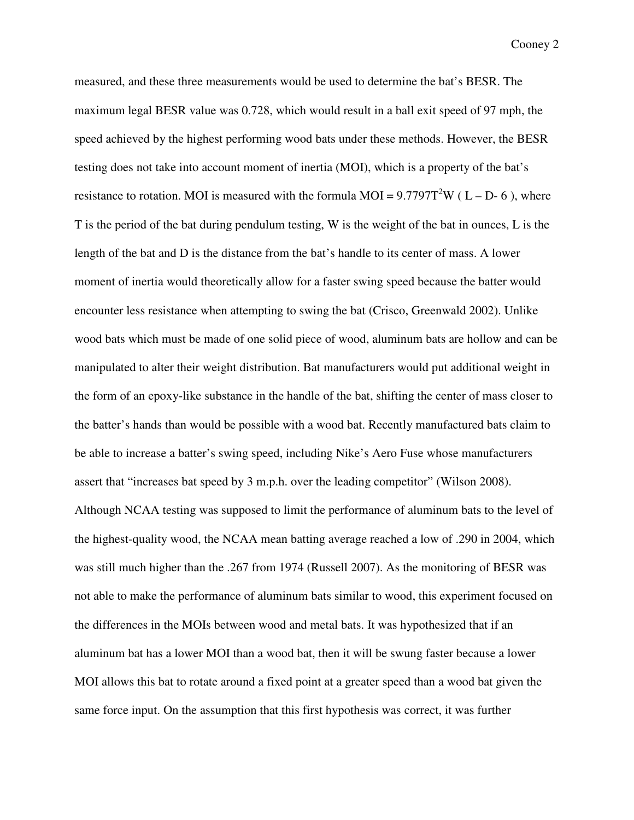measured, and these three measurements would be used to determine the bat's BESR. The maximum legal BESR value was 0.728, which would result in a ball exit speed of 97 mph, the speed achieved by the highest performing wood bats under these methods. However, the BESR testing does not take into account moment of inertia (MOI), which is a property of the bat's resistance to rotation. MOI is measured with the formula MOI =  $9.7797T^2W$  (L – D-6), where T is the period of the bat during pendulum testing, W is the weight of the bat in ounces, L is the length of the bat and D is the distance from the bat's handle to its center of mass. A lower moment of inertia would theoretically allow for a faster swing speed because the batter would encounter less resistance when attempting to swing the bat (Crisco, Greenwald 2002). Unlike wood bats which must be made of one solid piece of wood, aluminum bats are hollow and can be manipulated to alter their weight distribution. Bat manufacturers would put additional weight in the form of an epoxy-like substance in the handle of the bat, shifting the center of mass closer to the batter's hands than would be possible with a wood bat. Recently manufactured bats claim to be able to increase a batter's swing speed, including Nike's Aero Fuse whose manufacturers assert that "increases bat speed by 3 m.p.h. over the leading competitor" (Wilson 2008). Although NCAA testing was supposed to limit the performance of aluminum bats to the level of the highest-quality wood, the NCAA mean batting average reached a low of .290 in 2004, which was still much higher than the .267 from 1974 (Russell 2007). As the monitoring of BESR was not able to make the performance of aluminum bats similar to wood, this experiment focused on the differences in the MOIs between wood and metal bats. It was hypothesized that if an aluminum bat has a lower MOI than a wood bat, then it will be swung faster because a lower MOI allows this bat to rotate around a fixed point at a greater speed than a wood bat given the same force input. On the assumption that this first hypothesis was correct, it was further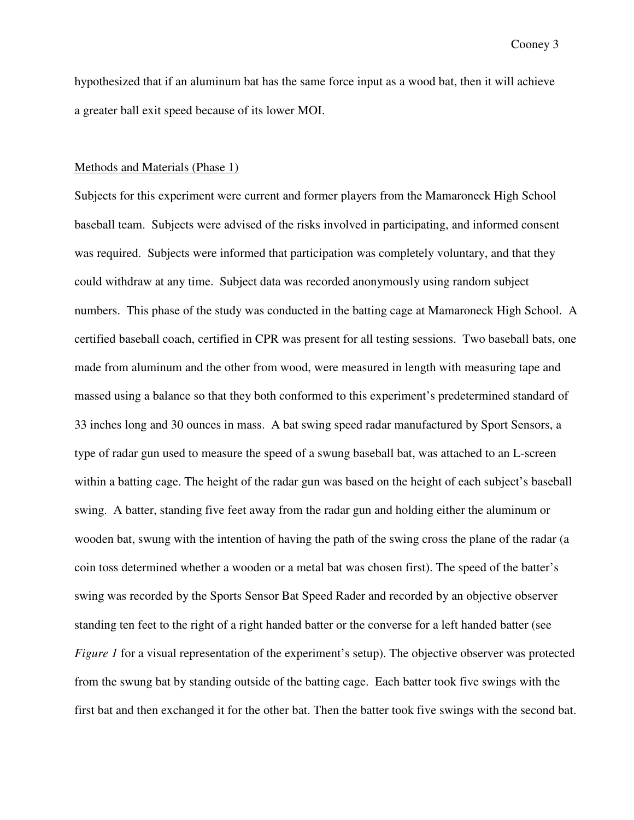hypothesized that if an aluminum bat has the same force input as a wood bat, then it will achieve a greater ball exit speed because of its lower MOI.

### Methods and Materials (Phase 1)

Subjects for this experiment were current and former players from the Mamaroneck High School baseball team. Subjects were advised of the risks involved in participating, and informed consent was required. Subjects were informed that participation was completely voluntary, and that they could withdraw at any time. Subject data was recorded anonymously using random subject numbers. This phase of the study was conducted in the batting cage at Mamaroneck High School. A certified baseball coach, certified in CPR was present for all testing sessions. Two baseball bats, one made from aluminum and the other from wood, were measured in length with measuring tape and massed using a balance so that they both conformed to this experiment's predetermined standard of 33 inches long and 30 ounces in mass. A bat swing speed radar manufactured by Sport Sensors, a type of radar gun used to measure the speed of a swung baseball bat, was attached to an L-screen within a batting cage. The height of the radar gun was based on the height of each subject's baseball swing. A batter, standing five feet away from the radar gun and holding either the aluminum or wooden bat, swung with the intention of having the path of the swing cross the plane of the radar (a coin toss determined whether a wooden or a metal bat was chosen first). The speed of the batter's swing was recorded by the Sports Sensor Bat Speed Rader and recorded by an objective observer standing ten feet to the right of a right handed batter or the converse for a left handed batter (see *Figure* 1 for a visual representation of the experiment's setup). The objective observer was protected from the swung bat by standing outside of the batting cage. Each batter took five swings with the first bat and then exchanged it for the other bat. Then the batter took five swings with the second bat.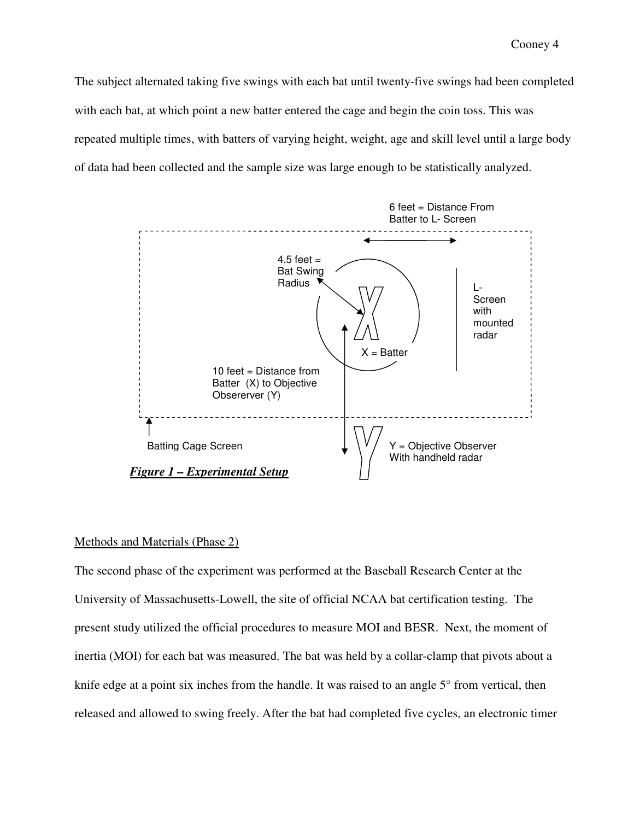The subject alternated taking five swings with each bat until twenty-five swings had been completed with each bat, at which point a new batter entered the cage and begin the coin toss. This was repeated multiple times, with batters of varying height, weight, age and skill level until a large body of data had been collected and the sample size was large enough to be statistically analyzed.



## Methods and Materials (Phase 2)

The second phase of the experiment was performed at the Baseball Research Center at the University of Massachusetts-Lowell, the site of official NCAA bat certification testing. The present study utilized the official procedures to measure MOI and BESR. Next, the moment of inertia (MOI) for each bat was measured. The bat was held by a collar-clamp that pivots about a knife edge at a point six inches from the handle. It was raised to an angle 5° from vertical, then released and allowed to swing freely. After the bat had completed five cycles, an electronic timer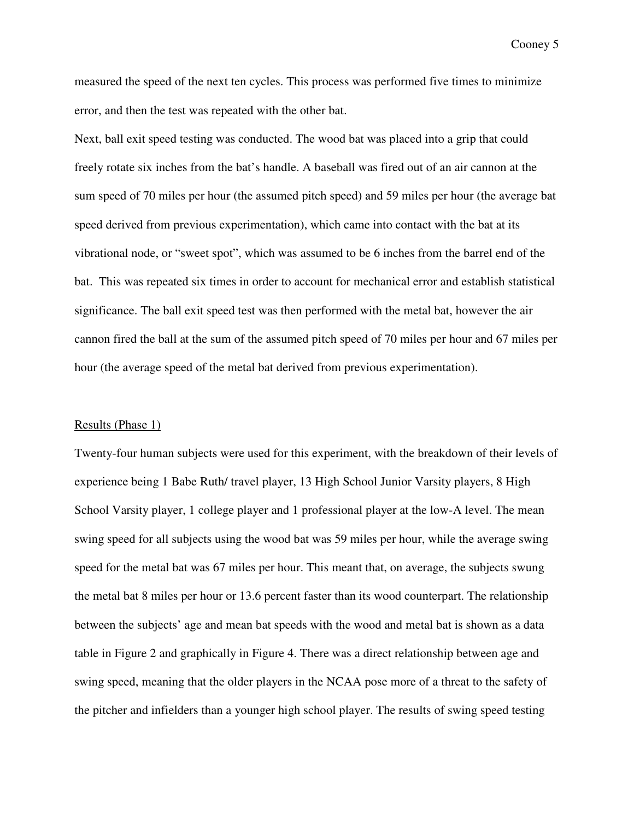measured the speed of the next ten cycles. This process was performed five times to minimize error, and then the test was repeated with the other bat.

Next, ball exit speed testing was conducted. The wood bat was placed into a grip that could freely rotate six inches from the bat's handle. A baseball was fired out of an air cannon at the sum speed of 70 miles per hour (the assumed pitch speed) and 59 miles per hour (the average bat speed derived from previous experimentation), which came into contact with the bat at its vibrational node, or "sweet spot", which was assumed to be 6 inches from the barrel end of the bat. This was repeated six times in order to account for mechanical error and establish statistical significance. The ball exit speed test was then performed with the metal bat, however the air cannon fired the ball at the sum of the assumed pitch speed of 70 miles per hour and 67 miles per hour (the average speed of the metal bat derived from previous experimentation).

# Results (Phase 1)

Twenty-four human subjects were used for this experiment, with the breakdown of their levels of experience being 1 Babe Ruth/ travel player, 13 High School Junior Varsity players, 8 High School Varsity player, 1 college player and 1 professional player at the low-A level. The mean swing speed for all subjects using the wood bat was 59 miles per hour, while the average swing speed for the metal bat was 67 miles per hour. This meant that, on average, the subjects swung the metal bat 8 miles per hour or 13.6 percent faster than its wood counterpart. The relationship between the subjects' age and mean bat speeds with the wood and metal bat is shown as a data table in Figure 2 and graphically in Figure 4. There was a direct relationship between age and swing speed, meaning that the older players in the NCAA pose more of a threat to the safety of the pitcher and infielders than a younger high school player. The results of swing speed testing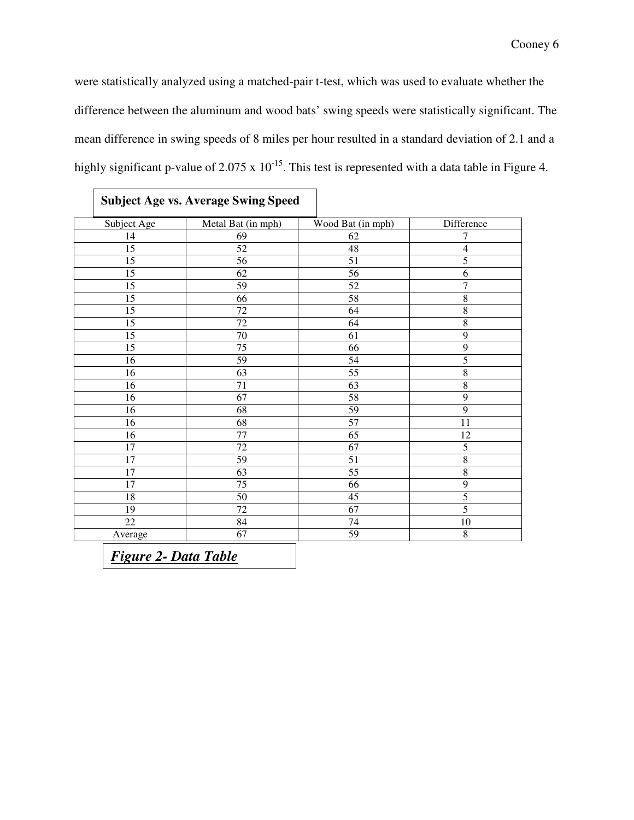were statistically analyzed using a matched-pair t-test, which was used to evaluate whether the difference between the aluminum and wood bats' swing speeds were statistically significant. The mean difference in swing speeds of 8 miles per hour resulted in a standard deviation of 2.1 and a highly significant p-value of 2.075 x  $10^{-15}$ . This test is represented with a data table in Figure 4.

| Subject Age     | Metal Bat (in mph) | Wood Bat (in mph) | Difference     |
|-----------------|--------------------|-------------------|----------------|
| 14              | 69                 | 62                | 7              |
| $\overline{15}$ | $\overline{52}$    | 48                | $\overline{4}$ |
| 15              | 56                 | 51                | $\overline{5}$ |
| $\overline{15}$ | $\overline{62}$    | $\overline{56}$   | $\overline{6}$ |
| 15              | 59                 | $\overline{52}$   | $\overline{7}$ |
| 15              | 66                 | 58                | $\,8\,$        |
| 15              | $72\,$             | 64                | $\overline{8}$ |
| 15              | $72\,$             | 64                | $\overline{8}$ |
| $\overline{15}$ | $\overline{70}$    | $\overline{61}$   | $\overline{9}$ |
| 15              | 75                 | 66                | $\overline{9}$ |
| 16              | 59                 | 54                | 5              |
| 16              | $\overline{63}$    | $\overline{55}$   | $\overline{8}$ |
| 16              | 71                 | 63                | $\,8\,$        |
| 16              | 67                 | $\overline{58}$   | $\overline{9}$ |
| 16              | $\overline{68}$    | $\overline{59}$   | $\overline{9}$ |
| 16              | $\overline{68}$    | 57                | 11             |
| 16              | $\overline{77}$    | $\overline{65}$   | 12             |
| 17              | $\overline{72}$    | 67                | $\overline{5}$ |
| 17              | $\overline{59}$    | $\overline{51}$   | $\overline{8}$ |
| 17              | 63                 | 55                | $\overline{8}$ |
| 17              | 75                 | 66                | $\overline{9}$ |
| 18              | 50                 | 45                | $\overline{5}$ |
| 19              | $\overline{72}$    | 67                | 5              |
| 22              | 84                 | 74                | $10\,$         |
| Average         | 67                 | 59                | $\,8\,$        |

# **Subject Age vs. Average Swing Speed**

*Figure 2- Data Table*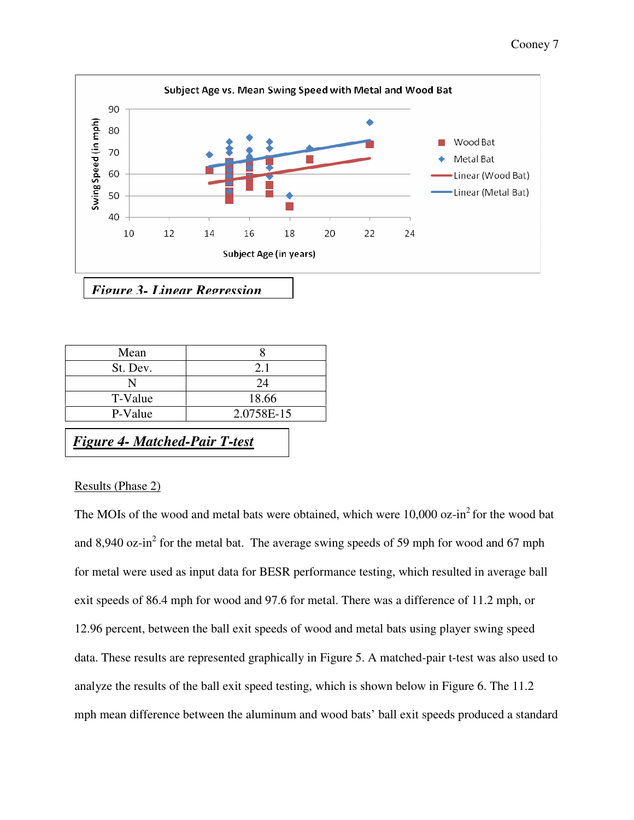

*Figure 3- Linear Regression*

| Mean     |            |  |
|----------|------------|--|
| St. Dev. | 2.1        |  |
|          | 24         |  |
| T-Value  | 18.66      |  |
| P-Value  | 2.0758E-15 |  |

*Figure 4- Matched-Pair T-test*

# Results (Phase 2)

The MOIs of the wood and metal bats were obtained, which were  $10,000$  oz-in<sup>2</sup> for the wood bat and 8,940 oz-in<sup>2</sup> for the metal bat. The average swing speeds of 59 mph for wood and 67 mph for metal were used as input data for BESR performance testing, which resulted in average ball exit speeds of 86.4 mph for wood and 97.6 for metal. There was a difference of 11.2 mph, or 12.96 percent, between the ball exit speeds of wood and metal bats using player swing speed data. These results are represented graphically in Figure 5. A matched-pair t-test was also used to analyze the results of the ball exit speed testing, which is shown below in Figure 6. The 11.2 mph mean difference between the aluminum and wood bats' ball exit speeds produced a standard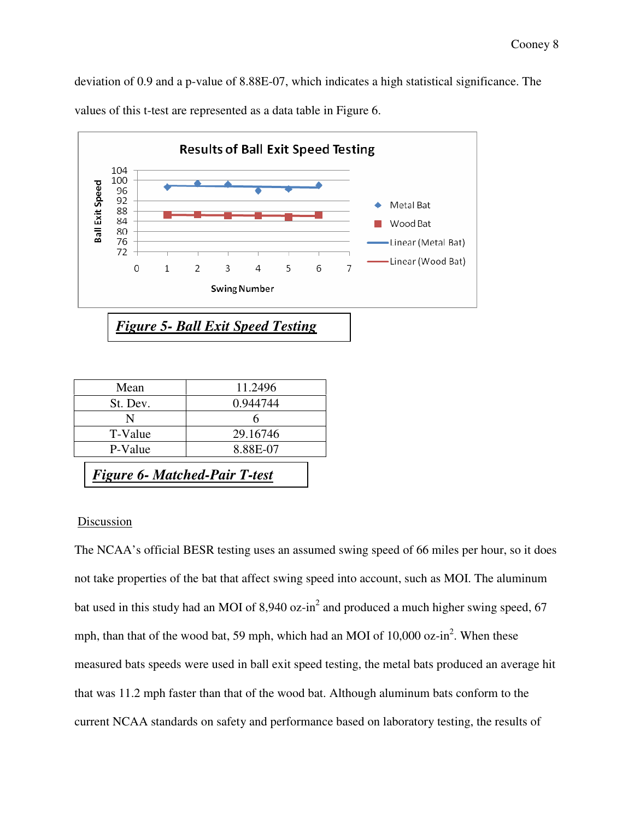deviation of 0.9 and a p-value of 8.88E-07, which indicates a high statistical significance. The values of this t-test are represented as a data table in Figure 6.



| Mean     | 11.2496  |
|----------|----------|
| St. Dev. | 0.944744 |
| N        |          |
| T-Value  | 29.16746 |
| P-Value  | 8.88E-07 |

*Figure 6- Matched-Pair T-test*

# **Discussion**

The NCAA's official BESR testing uses an assumed swing speed of 66 miles per hour, so it does not take properties of the bat that affect swing speed into account, such as MOI. The aluminum bat used in this study had an MOI of 8,940 oz-in<sup>2</sup> and produced a much higher swing speed, 67 mph, than that of the wood bat, 59 mph, which had an MOI of 10,000 oz-in<sup>2</sup>. When these measured bats speeds were used in ball exit speed testing, the metal bats produced an average hit that was 11.2 mph faster than that of the wood bat. Although aluminum bats conform to the current NCAA standards on safety and performance based on laboratory testing, the results of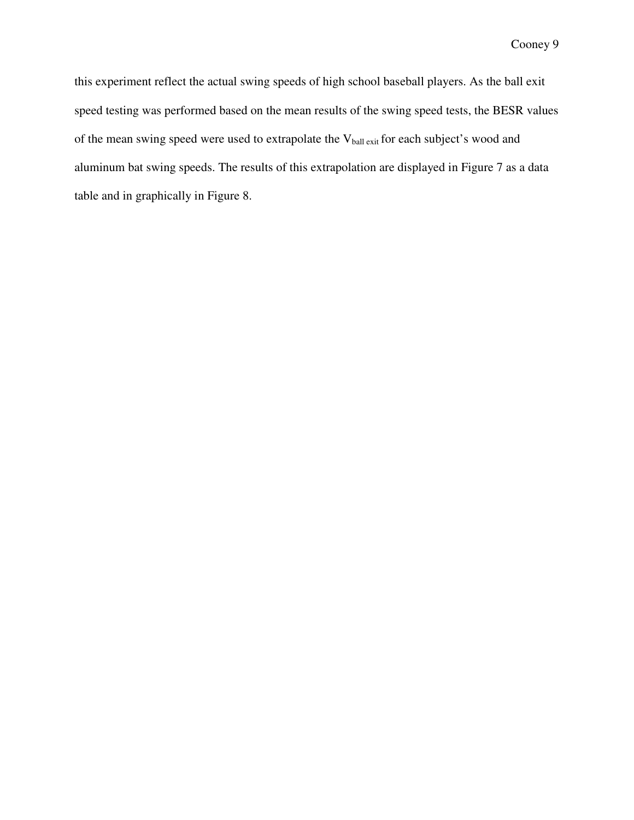this experiment reflect the actual swing speeds of high school baseball players. As the ball exit speed testing was performed based on the mean results of the swing speed tests, the BESR values of the mean swing speed were used to extrapolate the V<sub>ball exit</sub> for each subject's wood and aluminum bat swing speeds. The results of this extrapolation are displayed in Figure 7 as a data table and in graphically in Figure 8.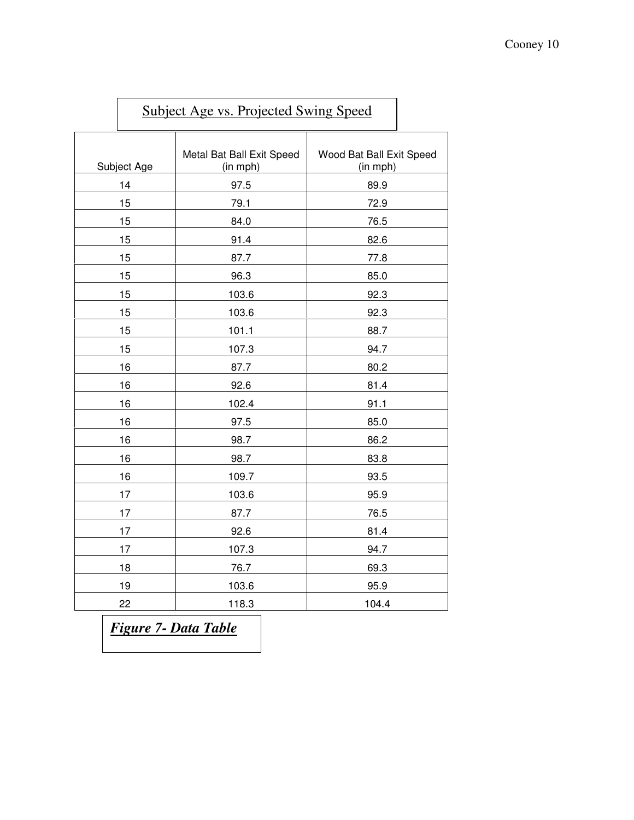| <b>Subject Age vs. Projected Swing Speed</b> |                                       |                                      |
|----------------------------------------------|---------------------------------------|--------------------------------------|
| Subject Age                                  | Metal Bat Ball Exit Speed<br>(in mph) | Wood Bat Ball Exit Speed<br>(in mph) |
| 14                                           | 97.5                                  | 89.9                                 |
| 15                                           | 79.1                                  | 72.9                                 |
| 15                                           | 84.0                                  | 76.5                                 |
| 15                                           | 91.4                                  | 82.6                                 |
| 15                                           | 87.7                                  | 77.8                                 |
| 15                                           | 96.3                                  | 85.0                                 |
| 15                                           | 103.6                                 | 92.3                                 |
| 15                                           | 103.6                                 | 92.3                                 |
| 15                                           | 101.1                                 | 88.7                                 |
| 15                                           | 107.3                                 | 94.7                                 |
| 16                                           | 87.7                                  | 80.2                                 |
| 16                                           | 92.6                                  | 81.4                                 |
| 16                                           | 102.4                                 | 91.1                                 |
| 16                                           | 97.5                                  | 85.0                                 |
| 16                                           | 98.7                                  | 86.2                                 |
| 16                                           | 98.7                                  | 83.8                                 |
| 16                                           | 109.7                                 | 93.5                                 |
| 17                                           | 103.6                                 | 95.9                                 |
| 17                                           | 87.7                                  | 76.5                                 |
| 17                                           | 92.6                                  | 81.4                                 |
| 17                                           | 107.3                                 | 94.7                                 |
| 18                                           | 76.7                                  | 69.3                                 |
| 19                                           | 103.6                                 | 95.9                                 |
| 22                                           | 118.3                                 | 104.4                                |

*Figure 7- Data Table*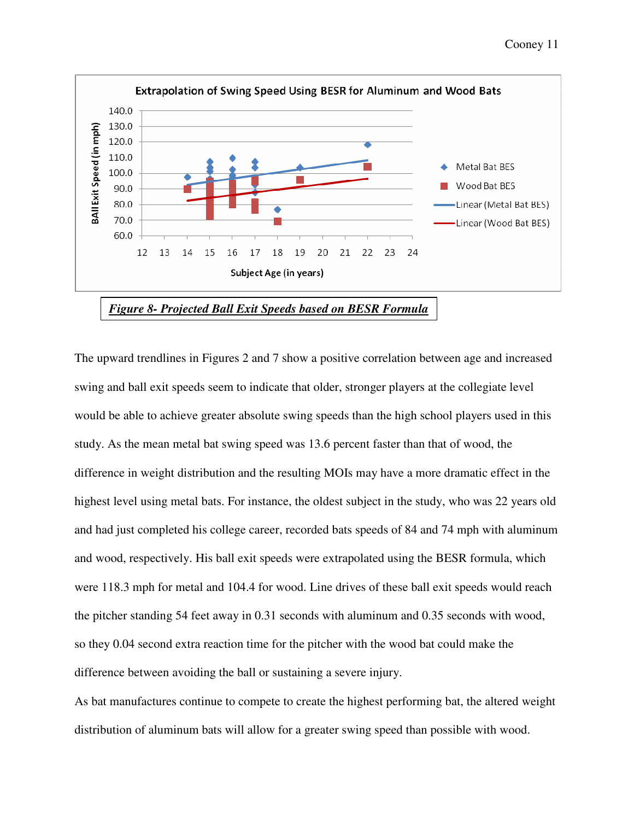

The upward trendlines in Figures 2 and 7 show a positive correlation between age and increased swing and ball exit speeds seem to indicate that older, stronger players at the collegiate level would be able to achieve greater absolute swing speeds than the high school players used in this study. As the mean metal bat swing speed was 13.6 percent faster than that of wood, the difference in weight distribution and the resulting MOIs may have a more dramatic effect in the highest level using metal bats. For instance, the oldest subject in the study, who was 22 years old and had just completed his college career, recorded bats speeds of 84 and 74 mph with aluminum and wood, respectively. His ball exit speeds were extrapolated using the BESR formula, which were 118.3 mph for metal and 104.4 for wood. Line drives of these ball exit speeds would reach the pitcher standing 54 feet away in 0.31 seconds with aluminum and 0.35 seconds with wood, so they 0.04 second extra reaction time for the pitcher with the wood bat could make the difference between avoiding the ball or sustaining a severe injury.

As bat manufactures continue to compete to create the highest performing bat, the altered weight distribution of aluminum bats will allow for a greater swing speed than possible with wood.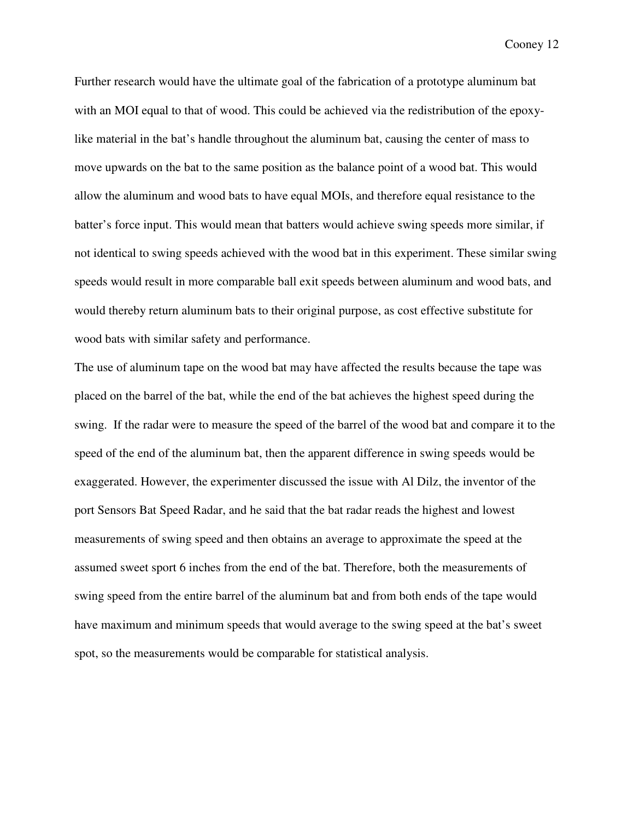Further research would have the ultimate goal of the fabrication of a prototype aluminum bat with an MOI equal to that of wood. This could be achieved via the redistribution of the epoxylike material in the bat's handle throughout the aluminum bat, causing the center of mass to move upwards on the bat to the same position as the balance point of a wood bat. This would allow the aluminum and wood bats to have equal MOIs, and therefore equal resistance to the batter's force input. This would mean that batters would achieve swing speeds more similar, if not identical to swing speeds achieved with the wood bat in this experiment. These similar swing speeds would result in more comparable ball exit speeds between aluminum and wood bats, and would thereby return aluminum bats to their original purpose, as cost effective substitute for wood bats with similar safety and performance.

The use of aluminum tape on the wood bat may have affected the results because the tape was placed on the barrel of the bat, while the end of the bat achieves the highest speed during the swing. If the radar were to measure the speed of the barrel of the wood bat and compare it to the speed of the end of the aluminum bat, then the apparent difference in swing speeds would be exaggerated. However, the experimenter discussed the issue with Al Dilz, the inventor of the port Sensors Bat Speed Radar, and he said that the bat radar reads the highest and lowest measurements of swing speed and then obtains an average to approximate the speed at the assumed sweet sport 6 inches from the end of the bat. Therefore, both the measurements of swing speed from the entire barrel of the aluminum bat and from both ends of the tape would have maximum and minimum speeds that would average to the swing speed at the bat's sweet spot, so the measurements would be comparable for statistical analysis.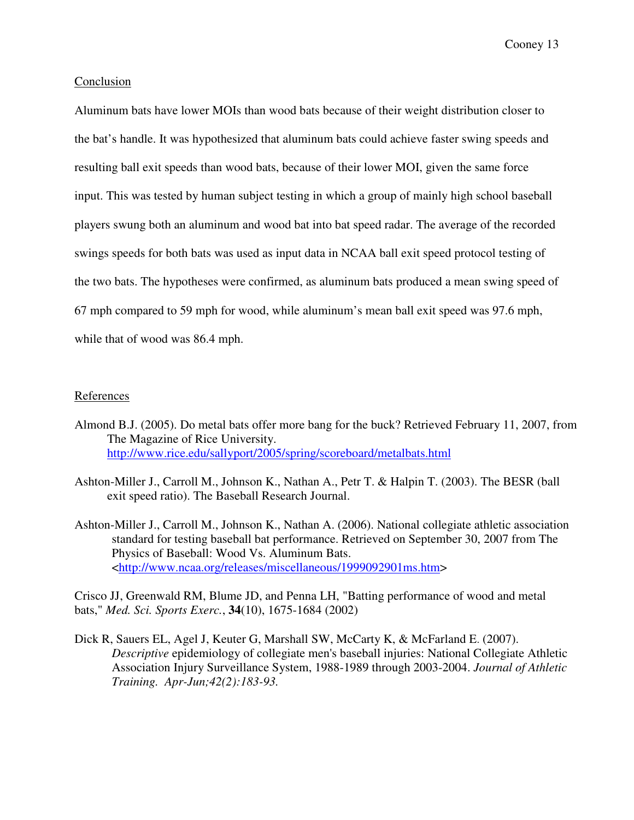## Conclusion

Aluminum bats have lower MOIs than wood bats because of their weight distribution closer to the bat's handle. It was hypothesized that aluminum bats could achieve faster swing speeds and resulting ball exit speeds than wood bats, because of their lower MOI, given the same force input. This was tested by human subject testing in which a group of mainly high school baseball players swung both an aluminum and wood bat into bat speed radar. The average of the recorded swings speeds for both bats was used as input data in NCAA ball exit speed protocol testing of the two bats. The hypotheses were confirmed, as aluminum bats produced a mean swing speed of 67 mph compared to 59 mph for wood, while aluminum's mean ball exit speed was 97.6 mph, while that of wood was 86.4 mph.

## References

- Almond B.J. (2005). Do metal bats offer more bang for the buck? Retrieved February 11, 2007, from The Magazine of Rice University. http://www.rice.edu/sallyport/2005/spring/scoreboard/metalbats.html
- Ashton-Miller J., Carroll M., Johnson K., Nathan A., Petr T. & Halpin T. (2003). The BESR (ball exit speed ratio). The Baseball Research Journal.
- Ashton-Miller J., Carroll M., Johnson K., Nathan A. (2006). National collegiate athletic association standard for testing baseball bat performance. Retrieved on September 30, 2007 from The Physics of Baseball: Wood Vs. Aluminum Bats. <http://www.ncaa.org/releases/miscellaneous/1999092901ms.htm>

Crisco JJ, Greenwald RM, Blume JD, and Penna LH, "Batting performance of wood and metal bats," *Med. Sci. Sports Exerc.*, **34**(10), 1675-1684 (2002)

Dick R, Sauers EL, Agel J, Keuter G, Marshall SW, McCarty K, & McFarland E (2007). *Descriptive* epidemiology of collegiate men's baseball injuries: National Collegiate Athletic Association Injury Surveillance System, 1988-1989 through 2003-2004. *Journal of Athletic Training. Apr-Jun;42(2):183-93.*